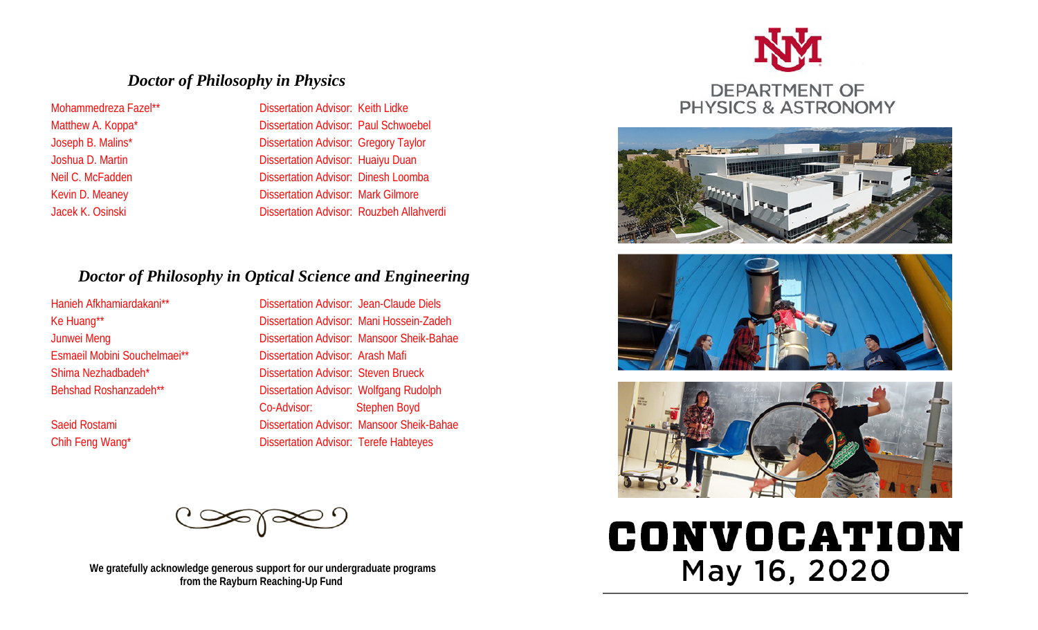## *Doctor of Philosophy in Physics*

Mohammedreza Fazel\*\* Dissertation Advisor: Keith Lidke Matthew A. Koppa<sup>\*</sup> Dissertation Advisor: Paul Schwoebel Joseph B. Malins\* **Dissertation Advisor: Gregory Taylor** Joshua D. Martin **Dissertation Advisor: Huaiyu Duan** Neil C. McFadden Dissertation Advisor: Dinesh Loomba Kevin D. Meaney **Dissertation Advisor: Mark Gilmore** Jacek K. Osinski Dissertation Advisor: Rouzbeh Allahverdi

## *Doctor of Philosophy in Optical Science and Engineering*

Hanieh Afkhamiardakani\*\* Dissertation Advisor: Jean-Claude Diels

Ke Huang\*\* Dissertation Advisor: Mani Hossein-Zadeh Junwei Meng **Dissertation Advisor: Mansoor Sheik-Bahae** Esmaeil Mobini Souchelmaei\*\* Dissertation Advisor: Arash Mafi Shima Nezhadbadeh\* Dissertation Advisor: Steven Brueck Behshad Roshanzadeh\*\* Dissertation Advisor: Wolfgang Rudolph Co-Advisor: Stephen Boyd Saeid Rostami **Dissertation Advisor: Mansoor Sheik-Bahae** Chih Feng Wang\* The Chin Feng Wang\* Dissertation Advisor: Terefe Habteyes



 **We gratefully acknowledge generous support for our undergraduate programs from the Rayburn Reaching-Up Fund**









# CONVOCATION May 16, 2020